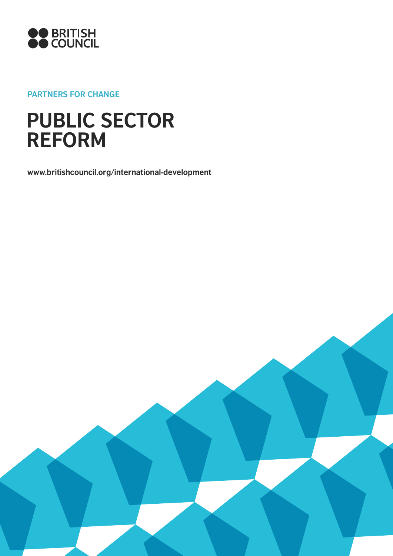

**Partners for change**

# **PUBLIC SECTOR REFORM**

**www.britishcouncil.org/international-development**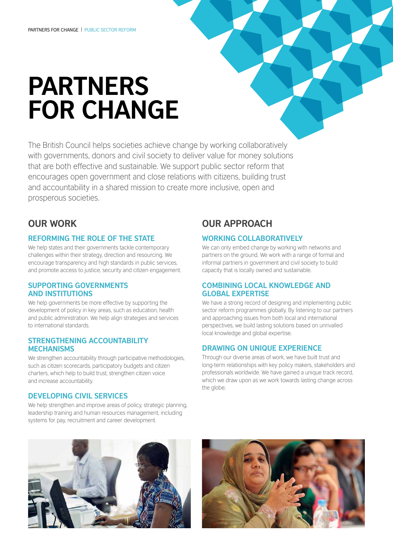# **Partners for change**

The British Council helps societies achieve change by working collaboratively with governments, donors and civil society to deliver value for money solutions that are both effective and sustainable. We support public sector reform that encourages open government and close relations with citizens, building trust and accountability in a shared mission to create more inclusive, open and prosperous societies.

### **Our work**

#### **Reforming the role of the state**

We help states and their governments tackle contemporary challenges within their strategy, direction and resourcing. We encourage transparency and high standards in public services, and promote access to justice, security and citizen engagement.

#### **Supporting governments and institutions**

We help governments be more effective by supporting the development of policy in key areas, such as education, health and public administration. We help align strategies and services to international standards.

#### **Strengthening accountability mechanisms**

We strengthen accountability through participative methodologies, such as citizen scorecards, participatory budgets and citizen charters, which help to build trust, strengthen citizen voice and increase accountability.

#### **Developing civil services**

We help strengthen and improve areas of policy, strategic planning, leadership training and human resources management, including systems for pay, recruitment and career development.

## **Our approach**

#### **Working collaboratively**

We can only embed change by working with networks and partners on the ground. We work with a range of formal and informal partners in government and civil society to build capacity that is locally owned and sustainable.

#### **Combining local knowledge and global expertise**

We have a strong record of designing and implementing public sector reform programmes globally. By listening to our partners and approaching issues from both local and international perspectives, we build lasting solutions based on unrivalled local knowledge and global expertise.

#### **Drawing on unique experience**

Through our diverse areas of work, we have built trust and long-term relationships with key policy makers, stakeholders and professionals worldwide. We have gained a unique track record, which we draw upon as we work towards lasting change across the globe.



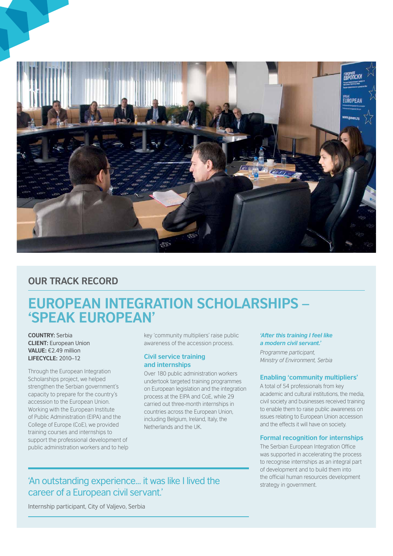

### **OUR TRACK RECORD**

# **European Integration Scholarships – 'Speak European'**

**Country:** Serbia **client:** European Union **Value:** €2.49 million **Lifecycle:** 2010–12

Through the European Integration Scholarships project, we helped strengthen the Serbian government's capacity to prepare for the country's accession to the European Union. Working with the European Institute of Public Administration (EIPA) and the College of Europe (CoE), we provided training courses and internships to support the professional development of public administration workers and to help

key 'community multipliers' raise public awareness of the accession process.

#### **Civil service training and internships**

Over 180 public administration workers undertook targeted training programmes on European legislation and the integration process at the EIPA and CoE, while 29 carried out three-month internships in countries across the European Union, including Belgium, Ireland, Italy, the Netherlands and the UK.

#### *'After this training I feel like a modern civil servant.'*

*Programme participant, Ministry of Environment, Serbia*

#### **Enabling 'community multipliers'**

A total of 54 professionals from key academic and cultural institutions, the media, civil society and businesses received training to enable them to raise public awareness on issues relating to European Union accession and the effects it will have on society.

#### **Formal recognition for internships**

The Serbian European Integration Office was supported in accelerating the process to recognise internships as an integral part of development and to build them into the official human resources development

## **Strategy in government.** 'An outstanding experience... it was like I lived the strategy in government. career of a European civil servant.'

Internship participant, City of Valjevo, Serbia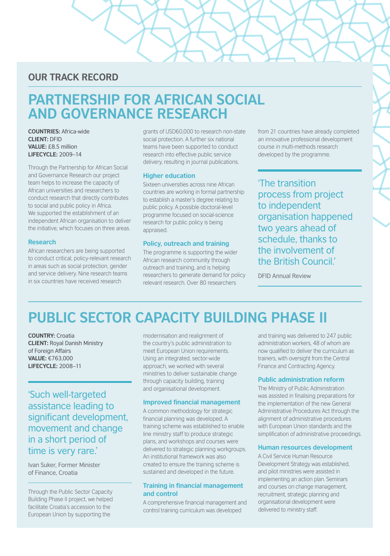### **OUR TRACK RECORD**

# **Partnership for African Social and Governance Research**

**CountRies:** Africa-wide **Client:** DFID **Value:** £8.5 million **Lifecycle:** 2009–14

Through the Partnership for African Social and Governance Research our project team helps to increase the capacity of African universities and researchers to conduct research that directly contributes to social and public policy in Africa. We supported the establishment of an independent African organisation to deliver the initiative, which focuses on three areas.

#### **Research**

African researchers are being supported to conduct critical, policy-relevant research in areas such as social protection, gender and service delivery. Nine research teams in six countries have received research

grants of USD60,000 to research non-state social protection. A further six national teams have been supported to conduct research into effective public service delivery, resulting in journal publications.

#### **Higher education**

Sixteen universities across nine African countries are working in formal partnership to establish a master's degree relating to public policy. A possible doctoral-level programme focused on social-science research for public policy is being appraised.

#### **Policy, outreach and training**

The programme is supporting the wider African research community through outreach and training, and is helping researchers to generate demand for policy relevant research. Over 80 researchers

from 21 countries have already completed an innovative professional development course in multi-methods research developed by the programme.

'The transition process from project to independent organisation happened two years ahead of schedule, thanks to the involvement of the British Council'

DFID Annual Review

# **Public Sector Capacity Building Phase II**

**Country:** Croatia **Client:** Royal Danish Ministry of Foreign Affairs **Value:** €763,000 **Lifecycle:** 2008–11

'Such well-targeted assistance leading to significant development, movement and change in a short period of time is very rare.'

Ivan Suker, Former Minister of Finance, Croatia

Through the Public Sector Capacity Building Phase II project, we helped facilitate Croatia's accession to the European Union by supporting the

modernisation and realignment of the country's public administration to meet European Union requirements. Using an integrated, sector-wide approach, we worked with several ministries to deliver sustainable change through capacity building, training and organisational development.

#### **Improved financial management**

A common methodology for strategic financial planning was developed. A training scheme was established to enable line ministry staff to produce strategic plans, and workshops and courses were delivered to strategic planning workgroups. An institutional framework was also created to ensure the training scheme is sustained and developed in the future.

#### **Training in financial management and control**

A comprehensive financial management and control training curriculum was developed

and training was delivered to 247 public administration workers, 48 of whom are now qualified to deliver the curriculum as trainers, with oversight from the Central Finance and Contracting Agency.

#### **Public administration reform**

The Ministry of Public Administration was assisted in finalising preparations for the implementation of the new General Administrative Procedures Act through the alignment of administrative procedures with European Union standards and the simplification of administrative proceedings.

#### **Human resources development**

A Civil Service Human Resource Development Strategy was established, and pilot ministries were assisted in implementing an action plan. Seminars and courses on change management, recruitment, strategic planning and organisational development were delivered to ministry staff.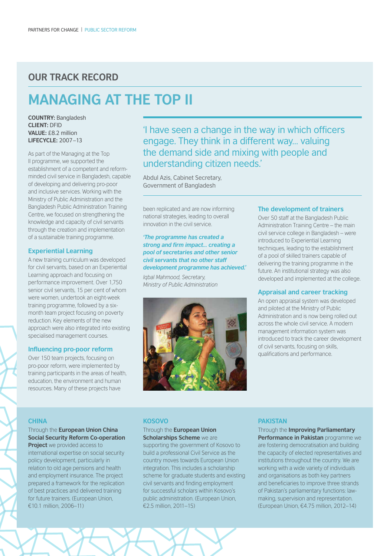### **OUR TRACK RECORD**

# **Managing at the Top II**

**Country:** Bangladesh **Client:** DFID **Value:** £8.2 million **Lifecycle:** 2007–13

As part of the Managing at the Top II programme, we supported the establishment of a competent and reformminded civil service in Bangladesh, capable of developing and delivering pro-poor and inclusive services. Working with the Ministry of Public Administration and the Bangladesh Public Administration Training Centre, we focused on strengthening the knowledge and capacity of civil servants through the creation and implementation of a sustainable training programme.

#### **Experiential Learning**

A new training curriculum was developed for civil servants, based on an Experiential Learning approach and focusing on performance improvement. Over 1,750 senior civil servants, 15 per cent of whom were women, undertook an eight-week training programme, followed by a sixmonth team project focusing on poverty reduction. Key elements of the new approach were also integrated into existing specialised management courses.

#### **Influencing pro-poor reform**

Over 150 team projects, focusing on pro-poor reform, were implemented by training participants in the areas of health, education, the environment and human resources. Many of these projects have

'I have seen a change in the way in which officers engage. They think in a different way… valuing the demand side and mixing with people and understanding citizen needs.'

Abdul Azis, Cabinet Secretary, Government of Bangladesh

been replicated and are now informing national strategies, leading to overall innovation in the civil service.

*'The programme has created a strong and firm impact… creating a pool of secretaries and other senior civil servants that no other staff development programme has achieved.'*

*Iqbal Mahmood, Secretary, Ministry of Public Administration*



#### **The development of trainers**

Over 50 staff at the Bangladesh Public Administration Training Centre – the main civil service college in Bangladesh – were introduced to Experiential Learning techniques, leading to the establishment of a pool of skilled trainers capable of delivering the training programme in the future. An institutional strategy was also developed and implemented at the college.

#### **Appraisal and career tracking**

An open appraisal system was developed and piloted at the Ministry of Public Administration and is now being rolled out across the whole civil service. A modern management information system was introduced to track the career development of civil servants, focusing on skills, qualifications and performance.

#### **China**

#### Through the **European Union China Social Security Reform Co-operation**

**Project** we provided access to international expertise on social security policy development, particularly in relation to old age pensions and health and employment insurance. The project prepared a framework for the replication of best practices and delivered training for future trainers. (European Union, €10.1 million, 2006–11)

#### **Kosovo**

#### Through the **European Union Scholarships Scheme** we are

supporting the government of Kosovo to build a professional Civil Service as the country moves towards European Union integration. This includes a scholarship scheme for graduate students and existing civil servants and finding employment for successful scholars within Kosovo's public administration. (European Union, €2.5 million, 2011–15)

#### **Pakistan**

Through the **Improving Parliamentary Performance in Pakistan programme we** are fostering democratisation and building the capacity of elected representatives and institutions throughout the country. We are working with a wide variety of individuals and organisations as both key partners and beneficiaries to improve three strands of Pakistan's parliamentary functions: lawmaking, supervision and representation. (European Union, €4.75 million, 2012–14)